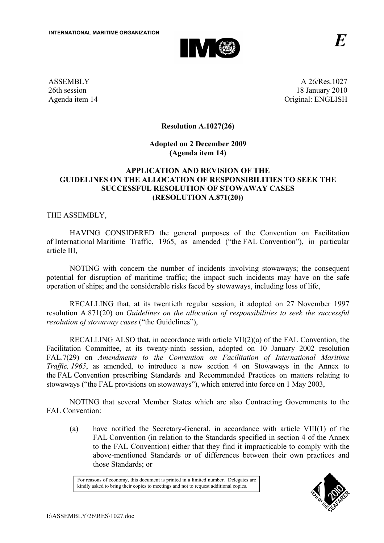

ASSEMBLY 26th session Agenda item 14

A 26/Res.1027 18 January 2010 Original: ENGLISH

## **Resolution A.1027(26)**

## **Adopted on 2 December 2009 (Agenda item 14)**

## **APPLICATION AND REVISION OF THE GUIDELINES ON THE ALLOCATION OF RESPONSIBILITIES TO SEEK THE SUCCESSFUL RESOLUTION OF STOWAWAY CASES (RESOLUTION A.871(20))**

THE ASSEMBLY,

HAVING CONSIDERED the general purposes of the Convention on Facilitation of International Maritime Traffic, 1965, as amended ("the FAL Convention"), in particular article III,

NOTING with concern the number of incidents involving stowaways; the consequent potential for disruption of maritime traffic; the impact such incidents may have on the safe operation of ships; and the considerable risks faced by stowaways, including loss of life,

 RECALLING that, at its twentieth regular session, it adopted on 27 November 1997 resolution A.871(20) on *Guidelines on the allocation of responsibilities to seek the successful resolution of stowaway cases* ("the Guidelines"),

 RECALLING ALSO that, in accordance with article VII(2)(a) of the FAL Convention, the Facilitation Committee, at its twenty-ninth session, adopted on 10 January 2002 resolution FAL.7(29) on *Amendments to the Convention on Facilitation of International Maritime Traffic, 1965*, as amended, to introduce a new section 4 on Stowaways in the Annex to the FAL Convention prescribing Standards and Recommended Practices on matters relating to stowaways ("the FAL provisions on stowaways"), which entered into force on 1 May 2003,

 NOTING that several Member States which are also Contracting Governments to the FAL Convention:

(a) have notified the Secretary-General, in accordance with article VIII(1) of the FAL Convention (in relation to the Standards specified in section 4 of the Annex to the FAL Convention) either that they find it impracticable to comply with the above-mentioned Standards or of differences between their own practices and those Standards; or

For reasons of economy, this document is printed in a limited number. Delegates are kindly asked to bring their copies to meetings and not to request additional copies.

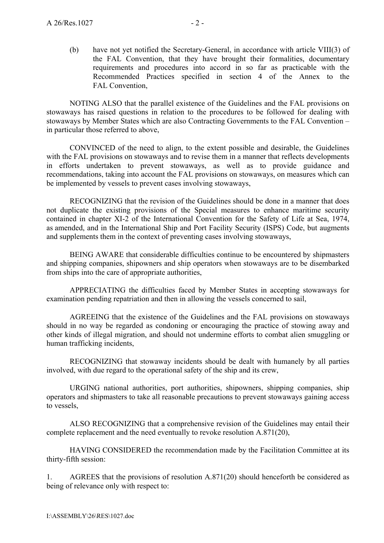(b) have not yet notified the Secretary-General, in accordance with article VIII(3) of the FAL Convention, that they have brought their formalities, documentary requirements and procedures into accord in so far as practicable with the Recommended Practices specified in section 4 of the Annex to the FAL Convention,

 NOTING ALSO that the parallel existence of the Guidelines and the FAL provisions on stowaways has raised questions in relation to the procedures to be followed for dealing with stowaways by Member States which are also Contracting Governments to the FAL Convention – in particular those referred to above,

CONVINCED of the need to align, to the extent possible and desirable, the Guidelines with the FAL provisions on stowaways and to revise them in a manner that reflects developments in efforts undertaken to prevent stowaways, as well as to provide guidance and recommendations, taking into account the FAL provisions on stowaways, on measures which can be implemented by vessels to prevent cases involving stowaways,

RECOGNIZING that the revision of the Guidelines should be done in a manner that does not duplicate the existing provisions of the Special measures to enhance maritime security contained in chapter XI-2 of the International Convention for the Safety of Life at Sea, 1974, as amended, and in the International Ship and Port Facility Security (ISPS) Code, but augments and supplements them in the context of preventing cases involving stowaways,

BEING AWARE that considerable difficulties continue to be encountered by shipmasters and shipping companies, shipowners and ship operators when stowaways are to be disembarked from ships into the care of appropriate authorities,

APPRECIATING the difficulties faced by Member States in accepting stowaways for examination pending repatriation and then in allowing the vessels concerned to sail,

AGREEING that the existence of the Guidelines and the FAL provisions on stowaways should in no way be regarded as condoning or encouraging the practice of stowing away and other kinds of illegal migration, and should not undermine efforts to combat alien smuggling or human trafficking incidents,

RECOGNIZING that stowaway incidents should be dealt with humanely by all parties involved, with due regard to the operational safety of the ship and its crew,

URGING national authorities, port authorities, shipowners, shipping companies, ship operators and shipmasters to take all reasonable precautions to prevent stowaways gaining access to vessels,

ALSO RECOGNIZING that a comprehensive revision of the Guidelines may entail their complete replacement and the need eventually to revoke resolution A.871(20),

HAVING CONSIDERED the recommendation made by the Facilitation Committee at its thirty-fifth session:

1. AGREES that the provisions of resolution A.871(20) should henceforth be considered as being of relevance only with respect to: